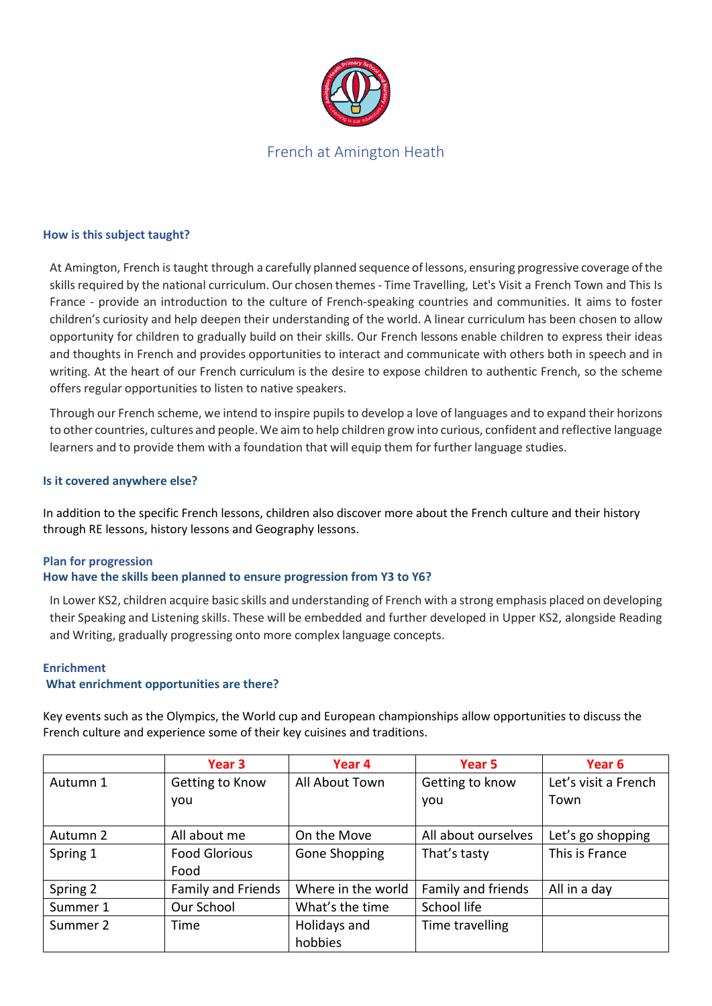

# French at Amington Heath

#### **How is this subject taught?**

At Amington, French is taught through a carefully planned sequence oflessons, ensuring progressive coverage ofthe skills required by the national curriculum. Our chosen themes - Time Travelling, Let's Visit a French Town and This Is France - provide an introduction to the culture of French-speaking countries and communities. It aims to foster children's curiosity and help deepen their understanding of the world. A linear curriculum has been chosen to allow opportunity for children to gradually build on their skills. Our French lessons enable children to express their ideas and thoughts in French and provides opportunities to interact and communicate with others both in speech and in writing. At the heart of our French curriculum is the desire to expose children to authentic French, so the scheme offers regular opportunities to listen to native speakers.

Through our French scheme, we intend to inspire pupils to develop a love of languages and to expand their horizons to other countries, cultures and people. We aim to help children grow into curious, confident and reflective language learners and to provide them with a foundation that will equip them for further language studies.

#### **Is it covered anywhere else?**

In addition to the specific French lessons, children also discover more about the French culture and their history through RE lessons, history lessons and Geography lessons.

## **Plan for progression**

## **How have the skills been planned to ensure progression from Y3 to Y6?**

In Lower KS2, children acquire basic skills and understanding of French with a strong emphasis placed on developing their Speaking and Listening skills. These will be embedded and further developed in Upper KS2, alongside Reading and Writing, gradually progressing onto more complex language concepts.

#### **Enrichment**

#### **What enrichment opportunities are there?**

Key events such as the Olympics, the World cup and European championships allow opportunities to discuss the French culture and experience some of their key cuisines and traditions.

|          | Year 3               | Year 4             | Year 5              | Year 6               |
|----------|----------------------|--------------------|---------------------|----------------------|
| Autumn 1 | Getting to Know      | All About Town     | Getting to know     | Let's visit a French |
|          | you                  |                    | you                 | Town                 |
| Autumn 2 | All about me         | On the Move        | All about ourselves | Let's go shopping    |
| Spring 1 | <b>Food Glorious</b> | Gone Shopping      | That's tasty        | This is France       |
|          | Food                 |                    |                     |                      |
| Spring 2 | Family and Friends   | Where in the world | Family and friends  | All in a day         |
| Summer 1 | Our School           | What's the time    | School life         |                      |
| Summer 2 | Time                 | Holidays and       | Time travelling     |                      |
|          |                      | hobbies            |                     |                      |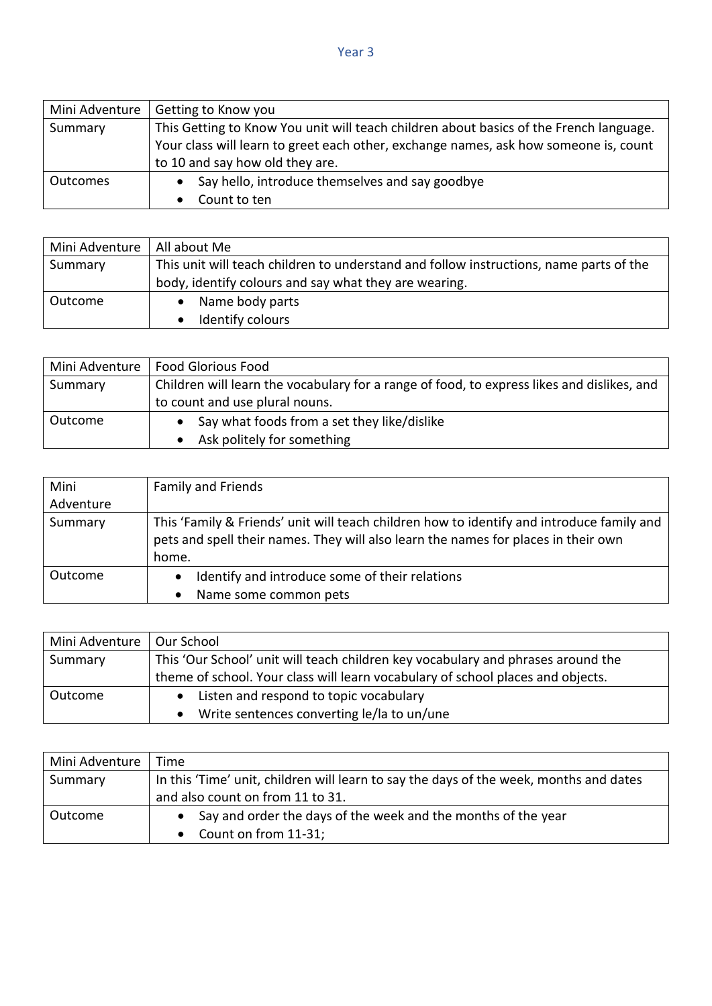| Mini Adventure  | Getting to Know you                                                                    |  |
|-----------------|----------------------------------------------------------------------------------------|--|
| Summary         | This Getting to Know You unit will teach children about basics of the French language. |  |
|                 | Your class will learn to greet each other, exchange names, ask how someone is, count   |  |
|                 | to 10 and say how old they are.                                                        |  |
| <b>Outcomes</b> | Say hello, introduce themselves and say goodbye                                        |  |
|                 | Count to ten                                                                           |  |

| Mini Adventure | All about Me                                                                           |
|----------------|----------------------------------------------------------------------------------------|
| Summary        | This unit will teach children to understand and follow instructions, name parts of the |
|                | body, identify colours and say what they are wearing.                                  |
| Outcome        | Name body parts                                                                        |
|                | Identify colours                                                                       |

| Mini Adventure | <b>Food Glorious Food</b>                                                                  |
|----------------|--------------------------------------------------------------------------------------------|
| Summary        | Children will learn the vocabulary for a range of food, to express likes and dislikes, and |
|                | to count and use plural nouns.                                                             |
| Outcome        | Say what foods from a set they like/dislike                                                |
|                | Ask politely for something                                                                 |

| Mini      | Family and Friends                                                                                                                                                                       |
|-----------|------------------------------------------------------------------------------------------------------------------------------------------------------------------------------------------|
| Adventure |                                                                                                                                                                                          |
| Summary   | This 'Family & Friends' unit will teach children how to identify and introduce family and<br>pets and spell their names. They will also learn the names for places in their own<br>home. |
| Outcome   | Identify and introduce some of their relations<br>$\bullet$<br>Name some common pets<br>$\bullet$                                                                                        |

| Mini Adventure | Our School                                                                       |
|----------------|----------------------------------------------------------------------------------|
| Summary        | This 'Our School' unit will teach children key vocabulary and phrases around the |
|                | theme of school. Your class will learn vocabulary of school places and objects.  |
| Outcome        | Listen and respond to topic vocabulary<br>$\bullet$                              |
|                | Write sentences converting le/la to un/une<br>$\bullet$                          |

| Mini Adventure | Time                                                                                   |
|----------------|----------------------------------------------------------------------------------------|
| Summary        | In this 'Time' unit, children will learn to say the days of the week, months and dates |
|                | and also count on from 11 to 31.                                                       |
| Outcome        | Say and order the days of the week and the months of the year                          |
|                | Count on from 11-31;                                                                   |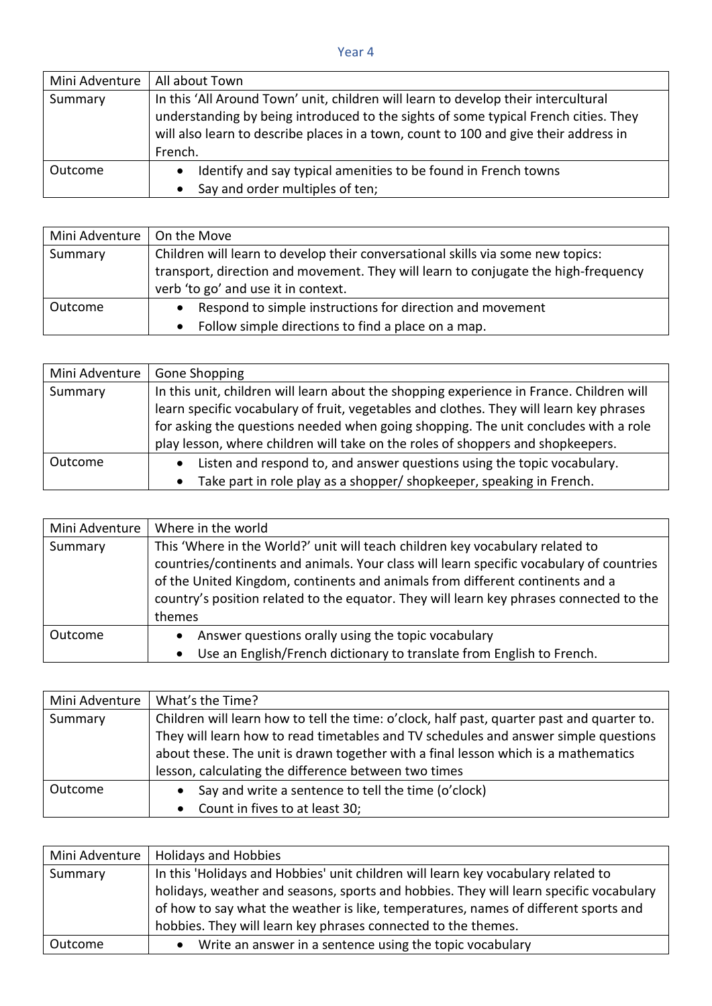## Year 4

| Mini Adventure | All about Town                                                                                                                                                                                                                                                               |
|----------------|------------------------------------------------------------------------------------------------------------------------------------------------------------------------------------------------------------------------------------------------------------------------------|
| Summary        | In this 'All Around Town' unit, children will learn to develop their intercultural<br>understanding by being introduced to the sights of some typical French cities. They<br>will also learn to describe places in a town, count to 100 and give their address in<br>French. |
| Outcome        | Identify and say typical amenities to be found in French towns<br>٠<br>Say and order multiples of ten;<br>$\bullet$                                                                                                                                                          |

| Mini Adventure | On the Move                                                                                                                                                                                                  |
|----------------|--------------------------------------------------------------------------------------------------------------------------------------------------------------------------------------------------------------|
| Summary        | Children will learn to develop their conversational skills via some new topics:<br>transport, direction and movement. They will learn to conjugate the high-frequency<br>verb 'to go' and use it in context. |
| Outcome        | Respond to simple instructions for direction and movement<br>Follow simple directions to find a place on a map.                                                                                              |

| Mini Adventure | Gone Shopping                                                                                                                                                                                                                                                                                                                                                 |
|----------------|---------------------------------------------------------------------------------------------------------------------------------------------------------------------------------------------------------------------------------------------------------------------------------------------------------------------------------------------------------------|
| Summary        | In this unit, children will learn about the shopping experience in France. Children will<br>learn specific vocabulary of fruit, vegetables and clothes. They will learn key phrases<br>for asking the questions needed when going shopping. The unit concludes with a role<br>play lesson, where children will take on the roles of shoppers and shopkeepers. |
| Outcome        | Listen and respond to, and answer questions using the topic vocabulary.<br>Take part in role play as a shopper/ shopkeeper, speaking in French.                                                                                                                                                                                                               |

| Mini Adventure | Where in the world                                                                                                                                                                                                                                                                                                                                              |
|----------------|-----------------------------------------------------------------------------------------------------------------------------------------------------------------------------------------------------------------------------------------------------------------------------------------------------------------------------------------------------------------|
| Summary        | This 'Where in the World?' unit will teach children key vocabulary related to<br>countries/continents and animals. Your class will learn specific vocabulary of countries<br>of the United Kingdom, continents and animals from different continents and a<br>country's position related to the equator. They will learn key phrases connected to the<br>themes |
| Outcome        | Answer questions orally using the topic vocabulary<br>$\bullet$<br>Use an English/French dictionary to translate from English to French.                                                                                                                                                                                                                        |

| Mini Adventure | What's the Time?                                                                           |  |
|----------------|--------------------------------------------------------------------------------------------|--|
| Summary        | Children will learn how to tell the time: o'clock, half past, quarter past and quarter to. |  |
|                | They will learn how to read timetables and TV schedules and answer simple questions        |  |
|                | about these. The unit is drawn together with a final lesson which is a mathematics         |  |
|                | lesson, calculating the difference between two times                                       |  |
| Outcome        | Say and write a sentence to tell the time (o'clock)                                        |  |
|                | Count in fives to at least 30;                                                             |  |

| Mini Adventure | <b>Holidays and Hobbies</b>                                                            |
|----------------|----------------------------------------------------------------------------------------|
| Summary        | In this 'Holidays and Hobbies' unit children will learn key vocabulary related to      |
|                | holidays, weather and seasons, sports and hobbies. They will learn specific vocabulary |
|                | of how to say what the weather is like, temperatures, names of different sports and    |
|                | hobbies. They will learn key phrases connected to the themes.                          |
| Outcome        | Write an answer in a sentence using the topic vocabulary                               |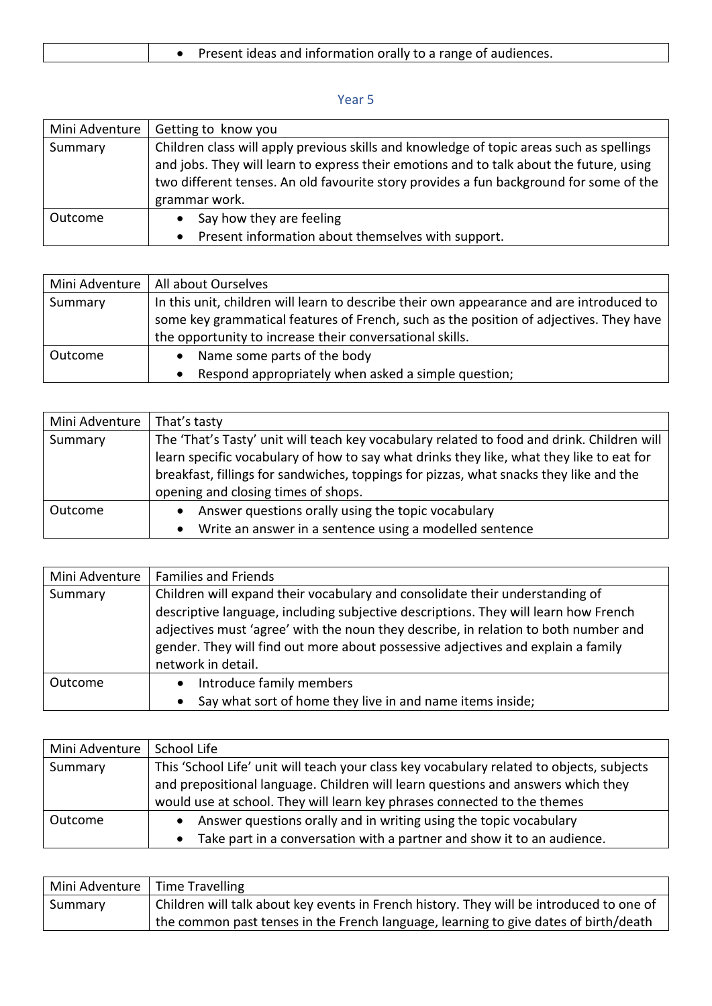| Present ideas and information orally to a range of audiences. |
|---------------------------------------------------------------|
|---------------------------------------------------------------|

## Year 5

| Mini Adventure | Getting to know you                                                                                                                                                                                                                                                                            |
|----------------|------------------------------------------------------------------------------------------------------------------------------------------------------------------------------------------------------------------------------------------------------------------------------------------------|
| Summary        | Children class will apply previous skills and knowledge of topic areas such as spellings<br>and jobs. They will learn to express their emotions and to talk about the future, using<br>two different tenses. An old favourite story provides a fun background for some of the<br>grammar work. |
| Outcome        | Say how they are feeling<br>Present information about themselves with support.<br>$\bullet$                                                                                                                                                                                                    |

| Mini Adventure | All about Ourselves                                                                      |
|----------------|------------------------------------------------------------------------------------------|
| Summary        | In this unit, children will learn to describe their own appearance and are introduced to |
|                | some key grammatical features of French, such as the position of adjectives. They have   |
|                | the opportunity to increase their conversational skills.                                 |
| Outcome        | Name some parts of the body                                                              |
|                | Respond appropriately when asked a simple question;                                      |

| Mini Adventure | That's tasty                                                                               |
|----------------|--------------------------------------------------------------------------------------------|
| Summary        | The 'That's Tasty' unit will teach key vocabulary related to food and drink. Children will |
|                | learn specific vocabulary of how to say what drinks they like, what they like to eat for   |
|                | breakfast, fillings for sandwiches, toppings for pizzas, what snacks they like and the     |
|                | opening and closing times of shops.                                                        |
| Outcome        | Answer questions orally using the topic vocabulary<br>$\bullet$                            |
|                | Write an answer in a sentence using a modelled sentence<br>$\bullet$                       |

| Mini Adventure | <b>Families and Friends</b>                                                                                                                                                                                                                                                                                                                                          |
|----------------|----------------------------------------------------------------------------------------------------------------------------------------------------------------------------------------------------------------------------------------------------------------------------------------------------------------------------------------------------------------------|
| Summary        | Children will expand their vocabulary and consolidate their understanding of<br>descriptive language, including subjective descriptions. They will learn how French<br>adjectives must 'agree' with the noun they describe, in relation to both number and<br>gender. They will find out more about possessive adjectives and explain a family<br>network in detail. |
| Outcome        | Introduce family members<br>$\bullet$<br>Say what sort of home they live in and name items inside;<br>$\bullet$                                                                                                                                                                                                                                                      |

| Mini Adventure | School Life                                                                               |
|----------------|-------------------------------------------------------------------------------------------|
| Summary        | This 'School Life' unit will teach your class key vocabulary related to objects, subjects |
|                | and prepositional language. Children will learn questions and answers which they          |
|                | would use at school. They will learn key phrases connected to the themes                  |
| Outcome        | Answer questions orally and in writing using the topic vocabulary                         |
|                | Take part in a conversation with a partner and show it to an audience.                    |

| Mini Adventure   Time Travelling |                                                                                          |
|----------------------------------|------------------------------------------------------------------------------------------|
| Summary                          | Children will talk about key events in French history. They will be introduced to one of |
|                                  | the common past tenses in the French language, learning to give dates of birth/death     |